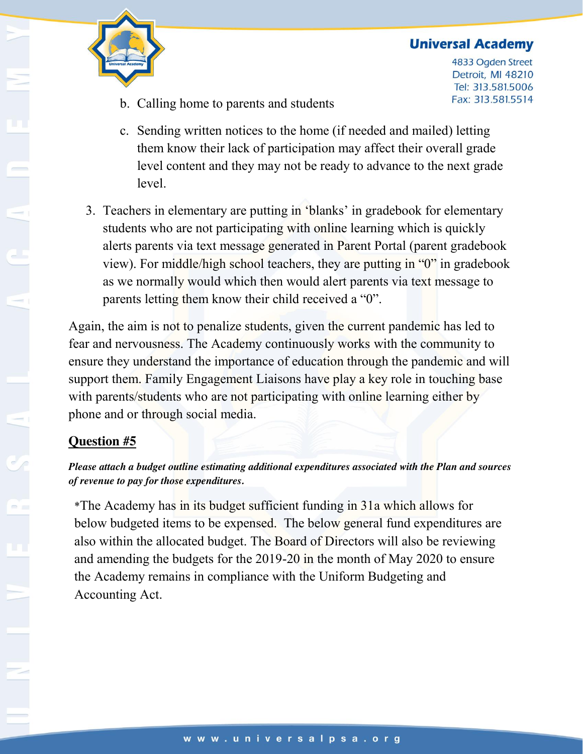### **Universal Academy**



4833 Ogden Street Detroit, MI 48210 Tel: 313.581.5006 Fax: 313.581.5514

- b. Calling home to parents and students
- c. Sending written notices to the home (if needed and mailed) letting them know their lack of participation may affect their overall grade level content and they may not be ready to advance to the next grade level.
- 3. Teachers in elementary are putting in 'blanks' in gradebook for elementary students who are not participating with online learning which is quickly alerts parents via text message generated in Parent Portal (parent gradebook view). For middle/high school teachers, they are putting in "0" in gradebook as we normally would which then would alert parents via text message to parents letting them know their child received a "0".

Again, the aim is not to penalize students, given the current pandemic has led to fear and nervousness. The Academy continuously works with the community to ensure they understand the importance of education through the pandemic and will support them. Family Engagement Liaisons have play a key role in touching base with parents/students who are not participating with online learning either by phone and or through social media.

# **Question #5**

#### *Please attach a budget outline estimating additional expenditures associated with the Plan and sources of revenue to pay for those expenditures.*

\*The Academy has in its budget sufficient funding in 31a which allows for below budgeted items to be expensed. The below general fund expenditures are also within the allocated budget. The Board of Directors will also be reviewing and amending the budgets for the 2019-20 in the month of May 2020 to ensure the Academy remains in compliance with the Uniform Budgeting and Accounting Act.